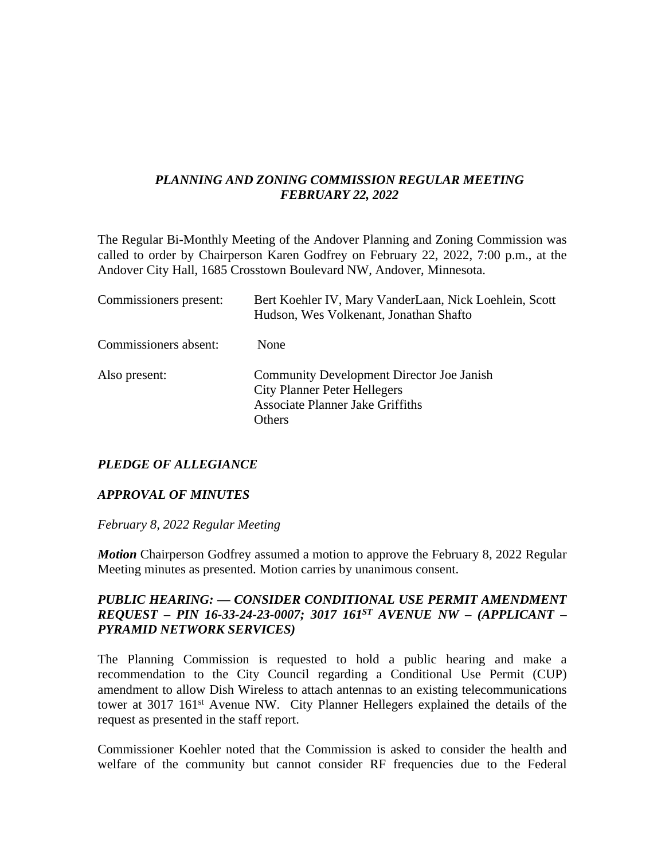# *PLANNING AND ZONING COMMISSION REGULAR MEETING FEBRUARY 22, 2022*

The Regular Bi-Monthly Meeting of the Andover Planning and Zoning Commission was called to order by Chairperson Karen Godfrey on February 22, 2022, 7:00 p.m., at the Andover City Hall, 1685 Crosstown Boulevard NW, Andover, Minnesota.

| Commissioners present: | Bert Koehler IV, Mary VanderLaan, Nick Loehlein, Scott<br>Hudson, Wes Volkenant, Jonathan Shafto                                             |
|------------------------|----------------------------------------------------------------------------------------------------------------------------------------------|
| Commissioners absent:  | <b>None</b>                                                                                                                                  |
| Also present:          | <b>Community Development Director Joe Janish</b><br><b>City Planner Peter Hellegers</b><br><b>Associate Planner Jake Griffiths</b><br>Others |

## *PLEDGE OF ALLEGIANCE*

### *APPROVAL OF MINUTES*

*February 8, 2022 Regular Meeting*

*Motion* Chairperson Godfrey assumed a motion to approve the February 8, 2022 Regular Meeting minutes as presented. Motion carries by unanimous consent.

## *PUBLIC HEARING: — CONSIDER CONDITIONAL USE PERMIT AMENDMENT REQUEST – PIN 16-33-24-23-0007; 3017 161ST AVENUE NW – (APPLICANT – PYRAMID NETWORK SERVICES)*

The Planning Commission is requested to hold a public hearing and make a recommendation to the City Council regarding a Conditional Use Permit (CUP) amendment to allow Dish Wireless to attach antennas to an existing telecommunications tower at 3017 161<sup>st</sup> Avenue NW. City Planner Hellegers explained the details of the request as presented in the staff report.

Commissioner Koehler noted that the Commission is asked to consider the health and welfare of the community but cannot consider RF frequencies due to the Federal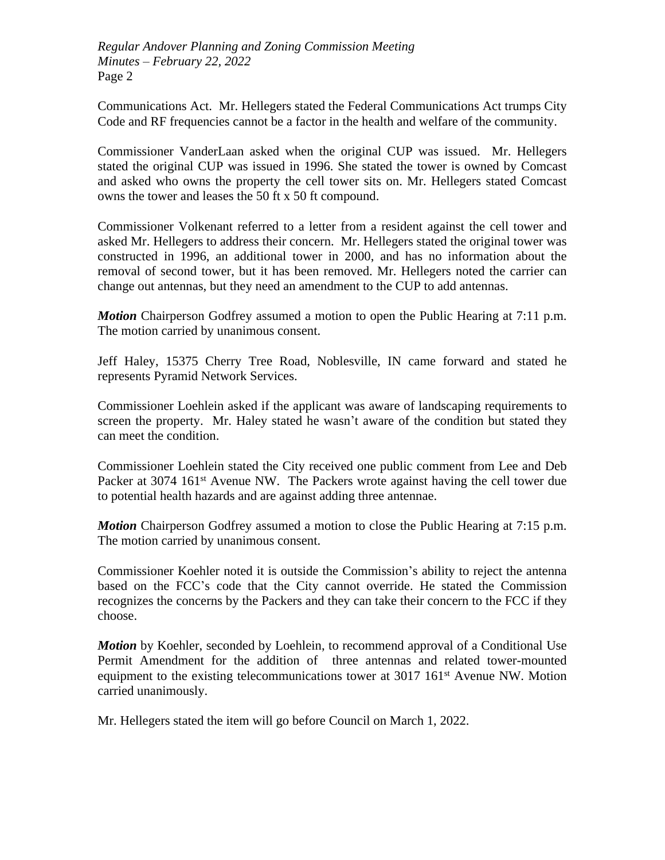*Regular Andover Planning and Zoning Commission Meeting Minutes – February 22, 2022* Page 2

Communications Act. Mr. Hellegers stated the Federal Communications Act trumps City Code and RF frequencies cannot be a factor in the health and welfare of the community.

Commissioner VanderLaan asked when the original CUP was issued. Mr. Hellegers stated the original CUP was issued in 1996. She stated the tower is owned by Comcast and asked who owns the property the cell tower sits on. Mr. Hellegers stated Comcast owns the tower and leases the 50 ft x 50 ft compound.

Commissioner Volkenant referred to a letter from a resident against the cell tower and asked Mr. Hellegers to address their concern. Mr. Hellegers stated the original tower was constructed in 1996, an additional tower in 2000, and has no information about the removal of second tower, but it has been removed. Mr. Hellegers noted the carrier can change out antennas, but they need an amendment to the CUP to add antennas.

*Motion* Chairperson Godfrey assumed a motion to open the Public Hearing at 7:11 p.m. The motion carried by unanimous consent.

Jeff Haley, 15375 Cherry Tree Road, Noblesville, IN came forward and stated he represents Pyramid Network Services.

Commissioner Loehlein asked if the applicant was aware of landscaping requirements to screen the property. Mr. Haley stated he wasn't aware of the condition but stated they can meet the condition.

Commissioner Loehlein stated the City received one public comment from Lee and Deb Packer at 3074 161<sup>st</sup> Avenue NW. The Packers wrote against having the cell tower due to potential health hazards and are against adding three antennae.

*Motion* Chairperson Godfrey assumed a motion to close the Public Hearing at 7:15 p.m. The motion carried by unanimous consent.

Commissioner Koehler noted it is outside the Commission's ability to reject the antenna based on the FCC's code that the City cannot override. He stated the Commission recognizes the concerns by the Packers and they can take their concern to the FCC if they choose.

*Motion* by Koehler, seconded by Loehlein, to recommend approval of a Conditional Use Permit Amendment for the addition of three antennas and related tower-mounted equipment to the existing telecommunications tower at 3017 161<sup>st</sup> Avenue NW. Motion carried unanimously.

Mr. Hellegers stated the item will go before Council on March 1, 2022.